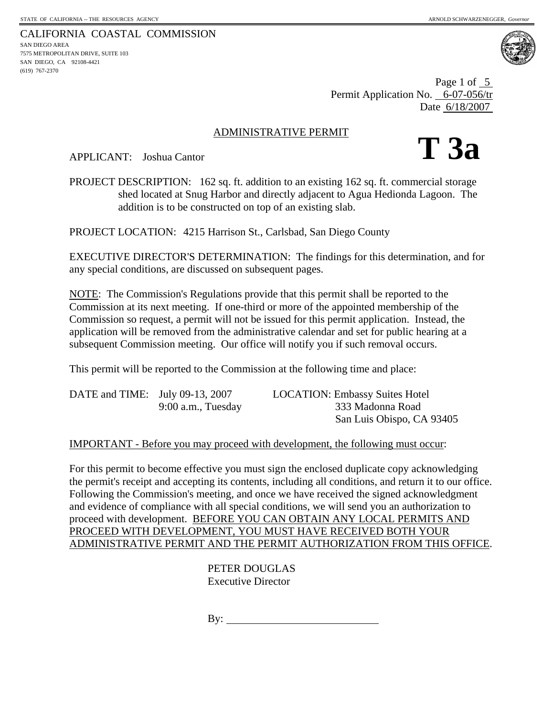CALIFORNIA COASTAL COMMISSION SAN DIEGO AREA 7575 METROPOLITAN DRIVE, SUITE 103 SAN DIEGO, CA 92108-4421 (619) 767-2370



Page 1 of 5 Permit Application No. 6-07-056/tr Date 6/18/2007

### ADMINISTRATIVE PERMIT

**T 3a** 

APPLICANT: Joshua Cantor

PROJECT DESCRIPTION: 162 sq. ft. addition to an existing 162 sq. ft. commercial storage shed located at Snug Harbor and directly adjacent to Agua Hedionda Lagoon. The addition is to be constructed on top of an existing slab.

PROJECT LOCATION: 4215 Harrison St., Carlsbad, San Diego County

EXECUTIVE DIRECTOR'S DETERMINATION: The findings for this determination, and for any special conditions, are discussed on subsequent pages.

NOTE: The Commission's Regulations provide that this permit shall be reported to the Commission at its next meeting. If one-third or more of the appointed membership of the Commission so request, a permit will not be issued for this permit application. Instead, the application will be removed from the administrative calendar and set for public hearing at a subsequent Commission meeting. Our office will notify you if such removal occurs.

This permit will be reported to the Commission at the following time and place:

| DATE and TIME: July 09-13, 2007 |                      | <b>LOCATION: Embassy Suites Hotel</b> |
|---------------------------------|----------------------|---------------------------------------|
|                                 | $9:00$ a.m., Tuesday | 333 Madonna Road                      |
|                                 |                      | San Luis Obispo, CA 93405             |

## IMPORTANT - Before you may proceed with development, the following must occur:

For this permit to become effective you must sign the enclosed duplicate copy acknowledging the permit's receipt and accepting its contents, including all conditions, and return it to our office. Following the Commission's meeting, and once we have received the signed acknowledgment and evidence of compliance with all special conditions, we will send you an authorization to proceed with development. BEFORE YOU CAN OBTAIN ANY LOCAL PERMITS AND PROCEED WITH DEVELOPMENT, YOU MUST HAVE RECEIVED BOTH YOUR ADMINISTRATIVE PERMIT AND THE PERMIT AUTHORIZATION FROM THIS OFFICE.

> PETER DOUGLAS Executive Director

By:  $\qquad \qquad$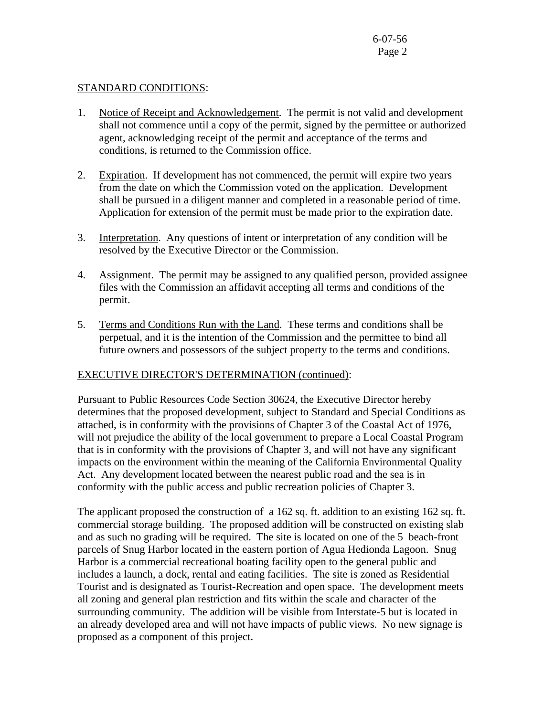### STANDARD CONDITIONS:

- 1. Notice of Receipt and Acknowledgement. The permit is not valid and development shall not commence until a copy of the permit, signed by the permittee or authorized agent, acknowledging receipt of the permit and acceptance of the terms and conditions, is returned to the Commission office.
- 2. Expiration. If development has not commenced, the permit will expire two years from the date on which the Commission voted on the application. Development shall be pursued in a diligent manner and completed in a reasonable period of time. Application for extension of the permit must be made prior to the expiration date.
- 3. Interpretation. Any questions of intent or interpretation of any condition will be resolved by the Executive Director or the Commission.
- 4. Assignment. The permit may be assigned to any qualified person, provided assignee files with the Commission an affidavit accepting all terms and conditions of the permit.
- 5. Terms and Conditions Run with the Land. These terms and conditions shall be perpetual, and it is the intention of the Commission and the permittee to bind all future owners and possessors of the subject property to the terms and conditions.

# EXECUTIVE DIRECTOR'S DETERMINATION (continued):

Pursuant to Public Resources Code Section 30624, the Executive Director hereby determines that the proposed development, subject to Standard and Special Conditions as attached, is in conformity with the provisions of Chapter 3 of the Coastal Act of 1976, will not prejudice the ability of the local government to prepare a Local Coastal Program that is in conformity with the provisions of Chapter 3, and will not have any significant impacts on the environment within the meaning of the California Environmental Quality Act. Any development located between the nearest public road and the sea is in conformity with the public access and public recreation policies of Chapter 3.

The applicant proposed the construction of a 162 sq. ft. addition to an existing 162 sq. ft. commercial storage building. The proposed addition will be constructed on existing slab and as such no grading will be required. The site is located on one of the 5 beach-front parcels of Snug Harbor located in the eastern portion of Agua Hedionda Lagoon. Snug Harbor is a commercial recreational boating facility open to the general public and includes a launch, a dock, rental and eating facilities. The site is zoned as Residential Tourist and is designated as Tourist-Recreation and open space. The development meets all zoning and general plan restriction and fits within the scale and character of the surrounding community. The addition will be visible from Interstate-5 but is located in an already developed area and will not have impacts of public views. No new signage is proposed as a component of this project.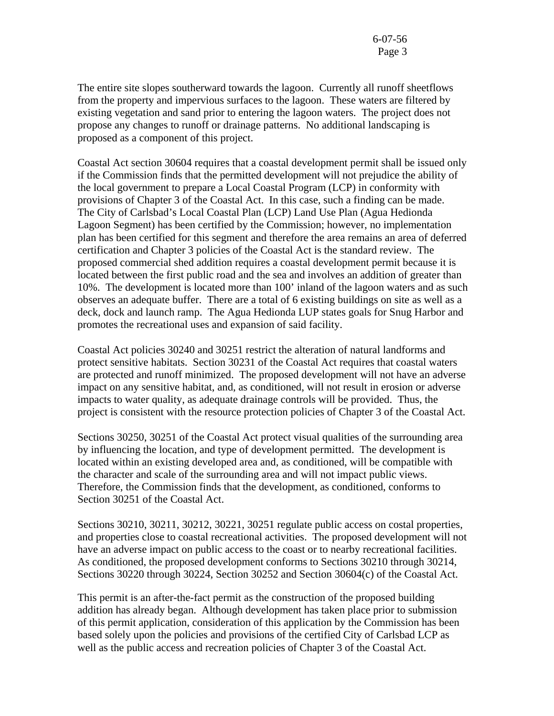The entire site slopes southerward towards the lagoon. Currently all runoff sheetflows from the property and impervious surfaces to the lagoon. These waters are filtered by existing vegetation and sand prior to entering the lagoon waters. The project does not propose any changes to runoff or drainage patterns. No additional landscaping is proposed as a component of this project.

Coastal Act section 30604 requires that a coastal development permit shall be issued only if the Commission finds that the permitted development will not prejudice the ability of the local government to prepare a Local Coastal Program (LCP) in conformity with provisions of Chapter 3 of the Coastal Act. In this case, such a finding can be made. The City of Carlsbad's Local Coastal Plan (LCP) Land Use Plan (Agua Hedionda Lagoon Segment) has been certified by the Commission; however, no implementation plan has been certified for this segment and therefore the area remains an area of deferred certification and Chapter 3 policies of the Coastal Act is the standard review. The proposed commercial shed addition requires a coastal development permit because it is located between the first public road and the sea and involves an addition of greater than 10%. The development is located more than 100' inland of the lagoon waters and as such observes an adequate buffer. There are a total of 6 existing buildings on site as well as a deck, dock and launch ramp. The Agua Hedionda LUP states goals for Snug Harbor and promotes the recreational uses and expansion of said facility.

Coastal Act policies 30240 and 30251 restrict the alteration of natural landforms and protect sensitive habitats. Section 30231 of the Coastal Act requires that coastal waters are protected and runoff minimized. The proposed development will not have an adverse impact on any sensitive habitat, and, as conditioned, will not result in erosion or adverse impacts to water quality, as adequate drainage controls will be provided. Thus, the project is consistent with the resource protection policies of Chapter 3 of the Coastal Act.

Sections 30250, 30251 of the Coastal Act protect visual qualities of the surrounding area by influencing the location, and type of development permitted. The development is located within an existing developed area and, as conditioned, will be compatible with the character and scale of the surrounding area and will not impact public views. Therefore, the Commission finds that the development, as conditioned, conforms to Section 30251 of the Coastal Act.

Sections 30210, 30211, 30212, 30221, 30251 regulate public access on costal properties, and properties close to coastal recreational activities. The proposed development will not have an adverse impact on public access to the coast or to nearby recreational facilities. As conditioned, the proposed development conforms to Sections 30210 through 30214, Sections 30220 through 30224, Section 30252 and Section 30604(c) of the Coastal Act.

This permit is an after-the-fact permit as the construction of the proposed building addition has already began. Although development has taken place prior to submission of this permit application, consideration of this application by the Commission has been based solely upon the policies and provisions of the certified City of Carlsbad LCP as well as the public access and recreation policies of Chapter 3 of the Coastal Act.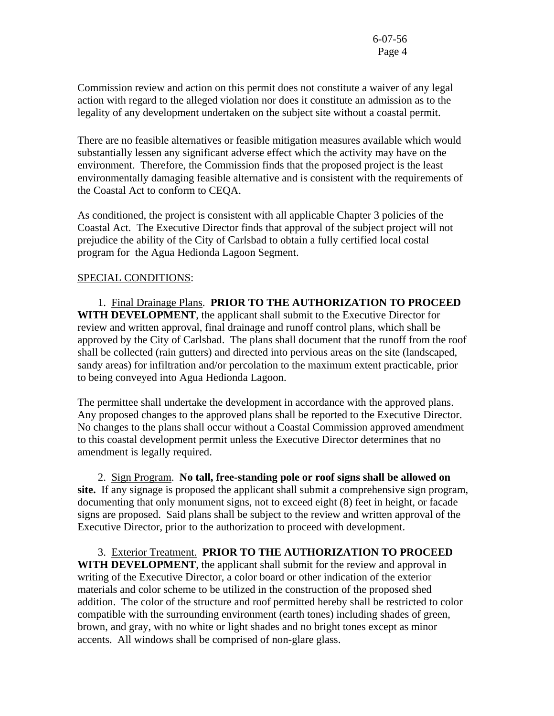Commission review and action on this permit does not constitute a waiver of any legal action with regard to the alleged violation nor does it constitute an admission as to the legality of any development undertaken on the subject site without a coastal permit.

There are no feasible alternatives or feasible mitigation measures available which would substantially lessen any significant adverse effect which the activity may have on the environment. Therefore, the Commission finds that the proposed project is the least environmentally damaging feasible alternative and is consistent with the requirements of the Coastal Act to conform to CEQA.

As conditioned, the project is consistent with all applicable Chapter 3 policies of the Coastal Act. The Executive Director finds that approval of the subject project will not prejudice the ability of the City of Carlsbad to obtain a fully certified local costal program for the Agua Hedionda Lagoon Segment.

#### SPECIAL CONDITIONS:

 1. Final Drainage Plans. **PRIOR TO THE AUTHORIZATION TO PROCEED WITH DEVELOPMENT**, the applicant shall submit to the Executive Director for review and written approval, final drainage and runoff control plans, which shall be approved by the City of Carlsbad. The plans shall document that the runoff from the roof shall be collected (rain gutters) and directed into pervious areas on the site (landscaped, sandy areas) for infiltration and/or percolation to the maximum extent practicable, prior to being conveyed into Agua Hedionda Lagoon.

The permittee shall undertake the development in accordance with the approved plans. Any proposed changes to the approved plans shall be reported to the Executive Director. No changes to the plans shall occur without a Coastal Commission approved amendment to this coastal development permit unless the Executive Director determines that no amendment is legally required.

 2. Sign Program. **No tall, free-standing pole or roof signs shall be allowed on site.** If any signage is proposed the applicant shall submit a comprehensive sign program, documenting that only monument signs, not to exceed eight (8) feet in height, or facade signs are proposed. Said plans shall be subject to the review and written approval of the Executive Director, prior to the authorization to proceed with development.

 3. Exterior Treatment. **PRIOR TO THE AUTHORIZATION TO PROCEED WITH DEVELOPMENT**, the applicant shall submit for the review and approval in writing of the Executive Director, a color board or other indication of the exterior materials and color scheme to be utilized in the construction of the proposed shed addition. The color of the structure and roof permitted hereby shall be restricted to color compatible with the surrounding environment (earth tones) including shades of green, brown, and gray, with no white or light shades and no bright tones except as minor accents. All windows shall be comprised of non-glare glass.